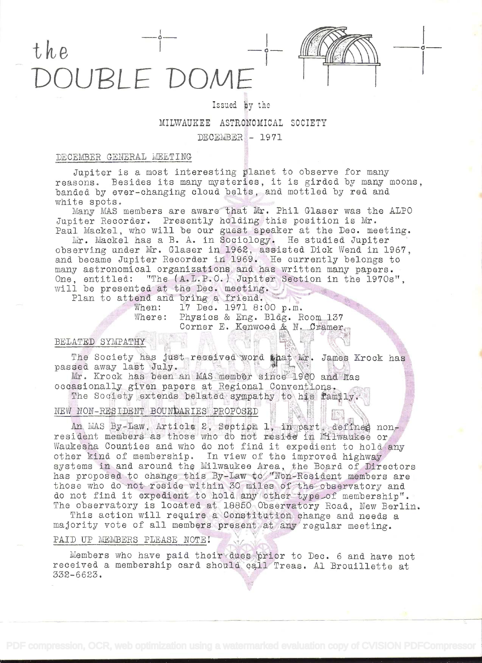# the JUBLE DOME



o

# Issued by the MILWAUKEE ASTRONOMICAL SOCIETY DECEMBER - 1971

# DECEMBER GENERAL MEETING

Jupiter is a most interesting planet to observe for many reasons. Besides its many mysteries, it is girded by many moons, banded by ever-changing cloud belts, and mottled by red and white spots.

Many MAS members are aware that Mr. Phil Glaser was the ALPO Jupiter Recorder. Presently holding this position is Mr. Paul Mackel, who will be our guest speaker at the Dec. meeting.

Mr. Mackel has a B. A. in Sociology. He studied Jupiter observing under Mr. Glaser in 1962, assisted Dick Wend in 1967, and became Jupiter Recorder in 1969. He currently belongs to many astronomical organizations and has written many papers. One, entitled: "The (A.L.P.O.) Jupiter Section in the 1970s", will be presented at the Dec. meeting.

Plan to attend and bring a friend.

When: 17 Dec. 1971 8:00 p.m. Where: Physics & Eng. Bldg. Room 137 Corner E. Kenwood & N. Cramer.

# BELATED SYMPATHY

The Society has just received word that Mr. James Krock has passed away last July

Mr. Krock has been an MAS member since 1960 and has occasionally given papers at Regional Conventions.

The Society extends belated sympathy to his family.

# NEW NON-RESIDENT BOUNDARIES PROPOSED

An MAS By-Law, Article 2, Section 1, in part, defines nonresident members as those who do not reside in Milwaukee or Waukesha Counties and who do not find it expedient to hold any other kind of membership. In view of the improved highway systems in and around the Milwaukee Area, the Poard of Directors has proposed to change this By-Law to "Non-Resident members are those who do not reside within 30 miles of the observatory and do not find it expedient to hold any other type of membership". The observatory is located at 18850 Observatory Road, New Berlin.

This action will require a Constitution change and needs a majority vote of all members present at any regular meeting.

# PAID UP MEMBERS PLEASE NOTE!

Members who have paid their dues prior to Dec. 6 and have not received a membership card should call Treas. Al Prouillette at 332-6623.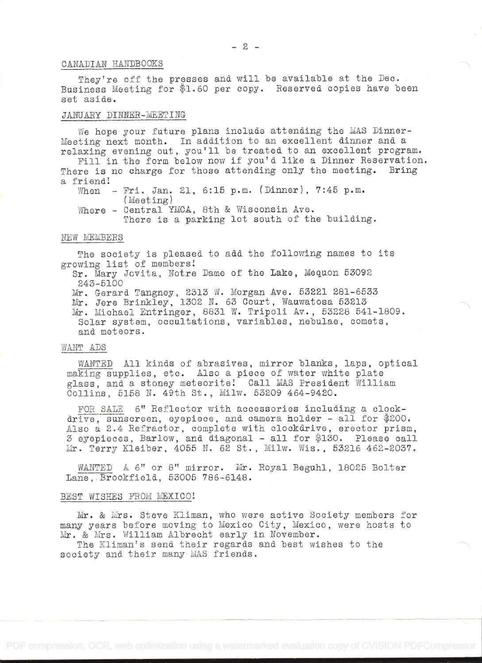## OANADIkN HANDBOOKS

They're off the presses and will be available at the Dec. Business Meeting for \$1.60 per copy. Reserved copies have been set aside.

## JANUARY DINNER-MEETING

Ne hope your future plans include attending the MAS Dinner-Meeting next month. In addition to an excellent dinner and a relaxing evening out, you'll be treated to an excellent program.

Fill in the form below now if you'd like a Dinner Reservation.<br>The is no charge for those attending only the meeting. Bring There is no charge for those attending only the meeting. a friend!

When - Fri. Jan. 21, 6:15 p.m. (Dinner), 7:45 p.m. (Meeting)

Where - Central YMCA, 8th & Wisconsin Ave. There is a parking lot south of the building.

#### NEW MEMBERS

The society is pleased to add the following names to its growing list of members

Sr. Mary Jovita, Notre Dame of the Lake, Mequon 53092 243-5100

Mr. Gerard Tangney, 2313 W. Morgan Ave. 53221 281-6533 Mr. Jere Brinkley, 1302 N. 63 Court, Wauwatosa 53213 Mr. Michael Entringer, 8831 W. Tripoli Av., 53228 541-1809. Solar system, occultations, variables, nebulae, comets, and meteors.

#### WANT ADS

WANTED All kinds of abrasives, mirror blanks, laps, optical making supplies, etc. Also a piece of water white plate glass, and a stoney meteorite! Call MAS President William Collins, 5158 N. 49th St., Milw. 53209 464-9420.

FOR SALE 6" Reflector with accessories including a clockdrive, sunscreen, eyepiece, and camera holder - all for  $$200$ . Also a 2.4 Refractor, complete with clockdrive, erector prism, 3 eyepieces, Barlow, and diagonal - all for \$130. Please call Mr. Terry Kleiber, 4055 N. 62 St., Milw. Wis., 53216 462-2037.

WANTED A 6" or 8" mirror. Mr. Royal Beguhl, 18025 Bolter Lane,.Brookfield, 53005 '786-6148.

#### BEST WISHES FROM MEXICO!

Mr. & Mrs. Steve Kliman, who were active Society members for many years before moving to Mexico City, Mexico, were hosts to Mr. & Mrs. William Albrecht early in November.

The Kliman's send. their regards and best wishes to the society and their many MAS friends.